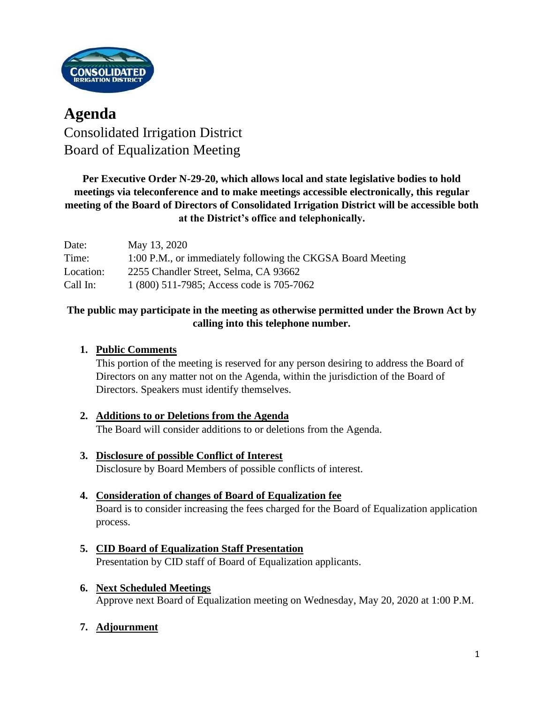

# **Agenda** Consolidated Irrigation District Board of Equalization Meeting

## **Per Executive Order N-29-20, which allows local and state legislative bodies to hold meetings via teleconference and to make meetings accessible electronically, this regular meeting of the Board of Directors of Consolidated Irrigation District will be accessible both at the District's office and telephonically.**

| Date:     | May 13, 2020                                                |
|-----------|-------------------------------------------------------------|
| Time:     | 1:00 P.M., or immediately following the CKGSA Board Meeting |
| Location: | 2255 Chandler Street, Selma, CA 93662                       |
| Call In:  | 1 (800) 511-7985; Access code is 705-7062                   |

## **The public may participate in the meeting as otherwise permitted under the Brown Act by calling into this telephone number.**

#### **1. Public Comments**

This portion of the meeting is reserved for any person desiring to address the Board of Directors on any matter not on the Agenda, within the jurisdiction of the Board of Directors. Speakers must identify themselves.

#### **2. Additions to or Deletions from the Agenda** The Board will consider additions to or deletions from the Agenda.

- **3. Disclosure of possible Conflict of Interest** Disclosure by Board Members of possible conflicts of interest.
- **4. Consideration of changes of Board of Equalization fee** Board is to consider increasing the fees charged for the Board of Equalization application process.
- **5. CID Board of Equalization Staff Presentation** Presentation by CID staff of Board of Equalization applicants.
- **6. Next Scheduled Meetings** Approve next Board of Equalization meeting on Wednesday, May 20, 2020 at 1:00 P.M.
- **7. Adjournment**